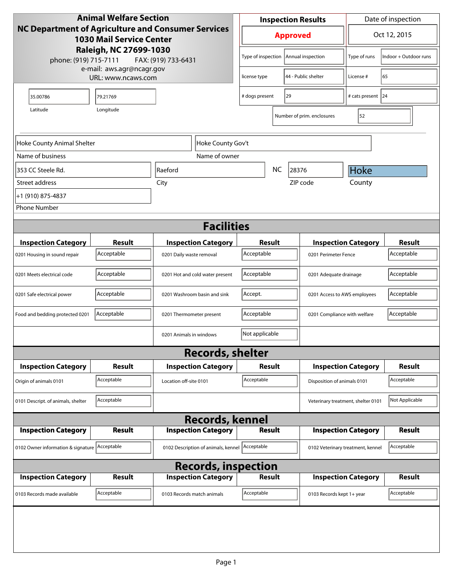| <b>Animal Welfare Section</b>                                                                                                                                          |                             |                                                        |  | <b>Inspection Results</b>              |               |                              |                            | Date of inspection         |                             |
|------------------------------------------------------------------------------------------------------------------------------------------------------------------------|-----------------------------|--------------------------------------------------------|--|----------------------------------------|---------------|------------------------------|----------------------------|----------------------------|-----------------------------|
| <b>NC Department of Agriculture and Consumer Services</b><br><b>1030 Mail Service Center</b><br>Raleigh, NC 27699-1030<br>phone: (919) 715-7111<br>FAX: (919) 733-6431 |                             |                                                        |  | <b>Approved</b>                        |               |                              |                            | Oct 12, 2015               |                             |
|                                                                                                                                                                        |                             |                                                        |  | Type of inspection   Annual inspection |               |                              |                            | Type of runs               | Indoor + Outdoor runs       |
| e-mail: aws.agr@ncagr.gov<br>URL: www.ncaws.com                                                                                                                        |                             |                                                        |  | license type                           |               |                              | 44 - Public shelter        | License #                  | 65                          |
| 35.00786                                                                                                                                                               | 79.21769                    |                                                        |  | # dogs present<br>29                   |               |                              | # cats present 24          |                            |                             |
| Latitude<br>Longitude<br>Number of prim. enclosures                                                                                                                    |                             |                                                        |  |                                        |               |                              | 52                         |                            |                             |
| Hoke County Gov't<br>Hoke County Animal Shelter                                                                                                                        |                             |                                                        |  |                                        |               |                              |                            |                            |                             |
| Name of business                                                                                                                                                       |                             | Name of owner                                          |  |                                        |               |                              |                            |                            |                             |
| 353 CC Steele Rd.                                                                                                                                                      |                             | Raeford                                                |  | <b>NC</b><br>28376                     |               |                              | <b>Hoke</b>                |                            |                             |
| Street address                                                                                                                                                         |                             | City                                                   |  |                                        |               |                              | ZIP code                   | County                     |                             |
| +1 (910) 875-4837                                                                                                                                                      |                             |                                                        |  |                                        |               |                              |                            |                            |                             |
| <b>Phone Number</b>                                                                                                                                                    |                             |                                                        |  |                                        |               |                              |                            |                            |                             |
| <b>Facilities</b>                                                                                                                                                      |                             |                                                        |  |                                        |               |                              |                            |                            |                             |
|                                                                                                                                                                        |                             |                                                        |  |                                        |               |                              |                            |                            |                             |
| <b>Inspection Category</b>                                                                                                                                             | <b>Result</b><br>Acceptable | <b>Inspection Category</b><br>0201 Daily waste removal |  | Acceptable                             | <b>Result</b> |                              | <b>Inspection Category</b> |                            | <b>Result</b><br>Acceptable |
| 0201 Housing in sound repair                                                                                                                                           |                             |                                                        |  | 0201 Perimeter Fence                   |               |                              |                            |                            |                             |
| 0201 Meets electrical code                                                                                                                                             | Acceptable                  | 0201 Hot and cold water present                        |  | Acceptable                             |               | 0201 Adequate drainage       |                            | Acceptable                 |                             |
| 0201 Safe electrical power                                                                                                                                             | Acceptable                  | 0201 Washroom basin and sink                           |  | Accept.                                |               | 0201 Access to AWS employees |                            | Acceptable                 |                             |
| Food and bedding protected 0201                                                                                                                                        | Acceptable                  | 0201 Thermometer present                               |  | Acceptable                             |               | 0201 Compliance with welfare |                            | Acceptable                 |                             |
|                                                                                                                                                                        |                             | 0201 Animals in windows                                |  | Not applicable                         |               |                              |                            |                            |                             |
|                                                                                                                                                                        |                             | <b>Records, shelter</b>                                |  |                                        |               |                              |                            |                            |                             |
| <b>Inspection Category</b>                                                                                                                                             | Result                      | <b>Inspection Category</b>                             |  | Result                                 |               |                              | <b>Inspection Category</b> | Result                     |                             |
| Origin of animals 0101                                                                                                                                                 | Acceptable                  | Location off-site 0101                                 |  | Acceptable                             |               | Disposition of animals 0101  |                            | Acceptable                 |                             |
| 0101 Descript. of animals, shelter                                                                                                                                     | Acceptable                  |                                                        |  | Veterinary treatment, shelter 0101     |               |                              |                            |                            | Not Applicable              |
|                                                                                                                                                                        |                             | <b>Records, kennel</b>                                 |  |                                        |               |                              |                            |                            |                             |
| <b>Inspection Category</b>                                                                                                                                             | Result                      | <b>Inspection Category</b>                             |  | <b>Result</b>                          |               |                              | <b>Inspection Category</b> | <b>Result</b>              |                             |
| 0102 Owner information & signature Acceptable                                                                                                                          |                             | 0102 Description of animals, kennel   Acceptable       |  | 0102 Veterinary treatment, kennel      |               |                              | Acceptable                 |                            |                             |
| <b>Records, inspection</b>                                                                                                                                             |                             |                                                        |  |                                        |               |                              |                            |                            |                             |
| <b>Inspection Category</b>                                                                                                                                             | <b>Result</b>               | <b>Inspection Category</b>                             |  |                                        | <b>Result</b> |                              |                            | <b>Inspection Category</b> | <b>Result</b>               |
| 0103 Records made available                                                                                                                                            | Acceptable                  | 0103 Records match animals                             |  | Acceptable                             |               |                              | 0103 Records kept 1+ year  |                            | Acceptable                  |
|                                                                                                                                                                        |                             |                                                        |  |                                        |               |                              |                            |                            |                             |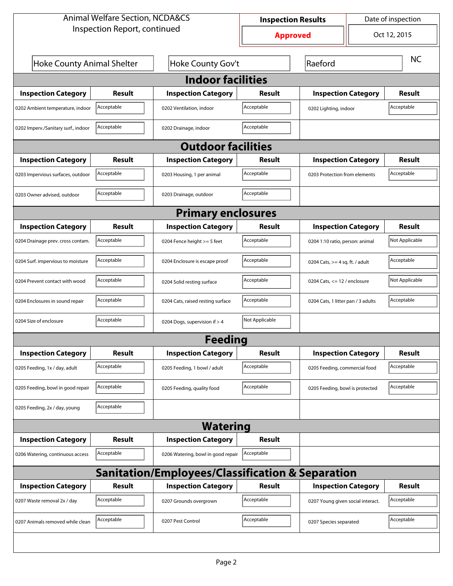| <b>Animal Welfare Section, NCDA&amp;CS</b>                  |                 |                                    |                 | Date of inspection<br><b>Inspection Results</b> |                                    |                |  |  |  |
|-------------------------------------------------------------|-----------------|------------------------------------|-----------------|-------------------------------------------------|------------------------------------|----------------|--|--|--|
| Inspection Report, continued                                |                 |                                    | <b>Approved</b> | Oct 12, 2015                                    |                                    |                |  |  |  |
| <b>Hoke County Animal Shelter</b>                           |                 | Hoke County Gov't                  |                 | Raeford                                         |                                    | <b>NC</b>      |  |  |  |
| <b>Indoor facilities</b>                                    |                 |                                    |                 |                                                 |                                    |                |  |  |  |
| <b>Inspection Category</b>                                  | Result          | <b>Inspection Category</b>         | Result          | <b>Inspection Category</b>                      |                                    | Result         |  |  |  |
| 0202 Ambient temperature, indoor                            | Acceptable      | 0202 Ventilation, indoor           | Acceptable      | 0202 Lighting, indoor                           |                                    | Acceptable     |  |  |  |
| 0202 Imperv./Sanitary surf., indoor                         | Acceptable      | 0202 Drainage, indoor              | Acceptable      |                                                 |                                    |                |  |  |  |
| <b>Outdoor facilities</b>                                   |                 |                                    |                 |                                                 |                                    |                |  |  |  |
| <b>Inspection Category</b>                                  | Result          | <b>Inspection Category</b>         | Result          | <b>Inspection Category</b>                      |                                    | Result         |  |  |  |
| 0203 Impervious surfaces, outdoor                           | Acceptable      | 0203 Housing, 1 per animal         | Acceptable      |                                                 | 0203 Protection from elements      |                |  |  |  |
| 0203 Owner advised, outdoor                                 | Acceptable      | 0203 Drainage, outdoor             | Acceptable      |                                                 |                                    |                |  |  |  |
| <b>Primary enclosures</b>                                   |                 |                                    |                 |                                                 |                                    |                |  |  |  |
| <b>Inspection Category</b>                                  | Result          | <b>Inspection Category</b>         | Result          | <b>Inspection Category</b>                      |                                    | <b>Result</b>  |  |  |  |
| 0204 Drainage prev. cross contam.                           | Acceptable      | 0204 Fence height >= 5 feet        | Acceptable      | 0204 1:10 ratio, person: animal                 |                                    | Not Applicable |  |  |  |
| 0204 Surf. impervious to moisture                           | Acceptable      | 0204 Enclosure is escape proof     | Acceptable      |                                                 | 0204 Cats, $>=$ 4 sq. ft. / adult  |                |  |  |  |
| 0204 Prevent contact with wood                              | Acceptable      | 0204 Solid resting surface         | Acceptable      |                                                 | 0204 Cats, $\le$ 12 / enclosure    |                |  |  |  |
| 0204 Enclosures in sound repair                             | Acceptable      | 0204 Cats, raised resting surface  | Acceptable      |                                                 | 0204 Cats, 1 litter pan / 3 adults |                |  |  |  |
| 0204 Size of enclosure                                      | Acceptable      | 0204 Dogs, supervision if > 4      | Not Applicable  |                                                 |                                    |                |  |  |  |
|                                                             |                 | Feedina                            |                 |                                                 |                                    |                |  |  |  |
| <b>Inspection Category</b>                                  | <b>Result</b>   | <b>Inspection Category</b>         | <b>Result</b>   | <b>Inspection Category</b>                      |                                    | <b>Result</b>  |  |  |  |
| 0205 Feeding, 1x / day, adult                               | Acceptable      | 0205 Feeding, 1 bowl / adult       | Acceptable      | 0205 Feeding, commercial food                   |                                    | Acceptable     |  |  |  |
| 0205 Feeding, bowl in good repair                           | Acceptable      | 0205 Feeding, quality food         | Acceptable      | 0205 Feeding, bowl is protected                 |                                    | Acceptable     |  |  |  |
| 0205 Feeding, 2x / day, young                               | Acceptable      |                                    |                 |                                                 |                                    |                |  |  |  |
|                                                             | <b>Watering</b> |                                    |                 |                                                 |                                    |                |  |  |  |
| <b>Inspection Category</b>                                  | <b>Result</b>   | <b>Inspection Category</b>         | <b>Result</b>   |                                                 |                                    |                |  |  |  |
| 0206 Watering, continuous access                            | Acceptable      | 0206 Watering, bowl in good repair | Acceptable      |                                                 |                                    |                |  |  |  |
| <b>Sanitation/Employees/Classification &amp; Separation</b> |                 |                                    |                 |                                                 |                                    |                |  |  |  |
| <b>Inspection Category</b>                                  | <b>Result</b>   | <b>Inspection Category</b>         | <b>Result</b>   | <b>Inspection Category</b>                      |                                    | <b>Result</b>  |  |  |  |
| 0207 Waste removal 2x / day                                 | Acceptable      | 0207 Grounds overgrown             | Acceptable      | 0207 Young given social interact.               |                                    | Acceptable     |  |  |  |
| 0207 Animals removed while clean                            | Acceptable      | 0207 Pest Control                  | Acceptable      | 0207 Species separated                          |                                    | Acceptable     |  |  |  |
|                                                             |                 |                                    |                 |                                                 |                                    |                |  |  |  |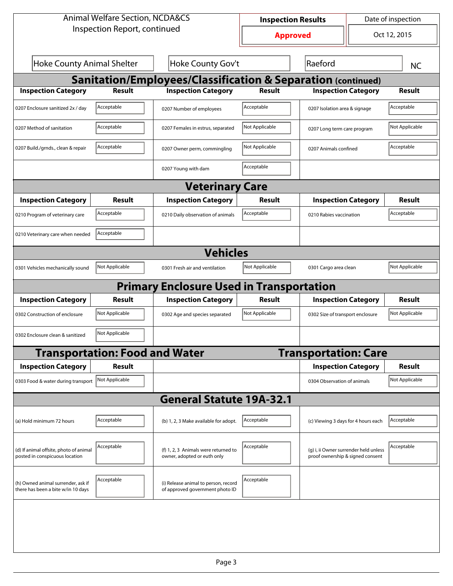| <b>Animal Welfare Section, NCDA&amp;CS</b>                               |                                                        |                                                                         |                 | Date of inspection<br><b>Inspection Results</b>                           |                             |                |  |  |  |
|--------------------------------------------------------------------------|--------------------------------------------------------|-------------------------------------------------------------------------|-----------------|---------------------------------------------------------------------------|-----------------------------|----------------|--|--|--|
| Inspection Report, continued                                             |                                                        |                                                                         | <b>Approved</b> | Oct 12, 2015                                                              |                             |                |  |  |  |
|                                                                          | <b>Hoke County Animal Shelter</b><br>Hoke County Gov't |                                                                         |                 | Raeford                                                                   |                             | <b>NC</b>      |  |  |  |
| Sanitation/Employees/Classification & Separation (continued)             |                                                        |                                                                         |                 |                                                                           |                             |                |  |  |  |
| <b>Inspection Category</b>                                               | <b>Result</b>                                          | <b>Inspection Category</b>                                              | <b>Result</b>   | <b>Inspection Category</b>                                                |                             | Result         |  |  |  |
| 0207 Enclosure sanitized 2x / day                                        | Acceptable                                             | 0207 Number of employees                                                | Acceptable      | 0207 Isolation area & signage                                             |                             | Acceptable     |  |  |  |
| 0207 Method of sanitation                                                | Acceptable                                             | 0207 Females in estrus, separated                                       | Not Applicable  |                                                                           | 0207 Long term care program |                |  |  |  |
| 0207 Build./grnds., clean & repair                                       | Acceptable                                             | 0207 Owner perm, commingling                                            | Not Applicable  | 0207 Animals confined                                                     |                             | Acceptable     |  |  |  |
|                                                                          |                                                        | 0207 Young with dam                                                     | Acceptable      |                                                                           |                             |                |  |  |  |
| <b>Veterinary Care</b>                                                   |                                                        |                                                                         |                 |                                                                           |                             |                |  |  |  |
| <b>Inspection Category</b>                                               | Result                                                 | <b>Inspection Category</b>                                              | <b>Result</b>   | <b>Inspection Category</b>                                                |                             | <b>Result</b>  |  |  |  |
| 0210 Program of veterinary care                                          | Acceptable                                             | 0210 Daily observation of animals                                       | Acceptable      | 0210 Rabies vaccination                                                   |                             | Acceptable     |  |  |  |
| 0210 Veterinary care when needed                                         | Acceptable                                             |                                                                         |                 |                                                                           |                             |                |  |  |  |
| <b>Vehicles</b>                                                          |                                                        |                                                                         |                 |                                                                           |                             |                |  |  |  |
| 0301 Vehicles mechanically sound                                         | Not Applicable                                         | 0301 Fresh air and ventilation                                          | Not Applicable  | 0301 Cargo area clean                                                     |                             | Not Applicable |  |  |  |
|                                                                          |                                                        | <b>Primary Enclosure Used in Transportation</b>                         |                 |                                                                           |                             |                |  |  |  |
| <b>Inspection Category</b>                                               | Result                                                 | <b>Inspection Category</b>                                              | <b>Result</b>   | <b>Inspection Category</b>                                                |                             | <b>Result</b>  |  |  |  |
| 0302 Construction of enclosure                                           | Not Applicable                                         | 0302 Age and species separated                                          | Not Applicable  | 0302 Size of transport enclosure                                          |                             | Not Applicable |  |  |  |
| 0302 Enclosure clean & sanitized                                         | Not Applicable                                         |                                                                         |                 |                                                                           |                             |                |  |  |  |
|                                                                          | <b>Transportation: Food and Water</b>                  |                                                                         |                 | <b>Transportation: Care</b>                                               |                             |                |  |  |  |
| <b>Inspection Category</b>                                               | <b>Result</b>                                          |                                                                         |                 | <b>Inspection Category</b>                                                |                             | <b>Result</b>  |  |  |  |
| 0303 Food & water during transport                                       | Not Applicable                                         |                                                                         |                 | 0304 Observation of animals                                               |                             | Not Applicable |  |  |  |
|                                                                          |                                                        | <b>General Statute 19A-32.1</b>                                         |                 |                                                                           |                             |                |  |  |  |
| (a) Hold minimum 72 hours                                                | Acceptable                                             | (b) 1, 2, 3 Make available for adopt.                                   | Acceptable      | (c) Viewing 3 days for 4 hours each                                       |                             | Acceptable     |  |  |  |
| (d) If animal offsite, photo of animal<br>posted in conspicuous location | Acceptable                                             | (f) 1, 2, 3 Animals were returned to<br>owner, adopted or euth only     | Acceptable      | (g) i, ii Owner surrender held unless<br>proof ownership & signed consent |                             | Acceptable     |  |  |  |
| (h) Owned animal surrender, ask if<br>there has been a bite w/in 10 days | Acceptable                                             | (i) Release animal to person, record<br>of approved government photo ID | Acceptable      |                                                                           |                             |                |  |  |  |
|                                                                          |                                                        |                                                                         |                 |                                                                           |                             |                |  |  |  |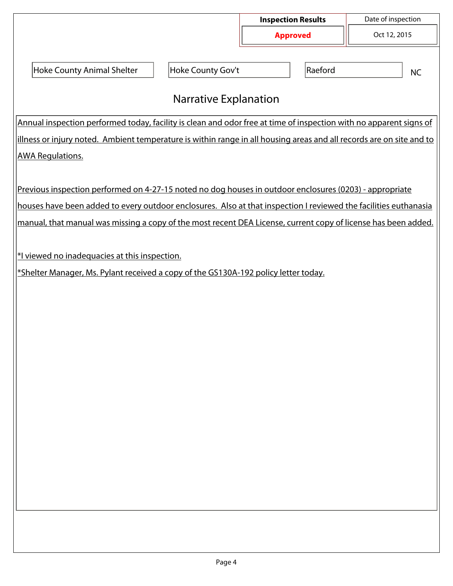|                                                                                                                      |                   | <b>Inspection Results</b> | Date of inspection |  |  |  |  |  |
|----------------------------------------------------------------------------------------------------------------------|-------------------|---------------------------|--------------------|--|--|--|--|--|
|                                                                                                                      |                   | <b>Approved</b>           | Oct 12, 2015       |  |  |  |  |  |
|                                                                                                                      |                   |                           |                    |  |  |  |  |  |
| Hoke County Animal Shelter                                                                                           | Hoke County Gov't | Raeford                   | <b>NC</b>          |  |  |  |  |  |
| <b>Narrative Explanation</b>                                                                                         |                   |                           |                    |  |  |  |  |  |
| Annual inspection performed today, facility is clean and odor free at time of inspection with no apparent signs of   |                   |                           |                    |  |  |  |  |  |
| illness or injury noted. Ambient temperature is within range in all housing areas and all records are on site and to |                   |                           |                    |  |  |  |  |  |
| <b>AWA Regulations.</b>                                                                                              |                   |                           |                    |  |  |  |  |  |
|                                                                                                                      |                   |                           |                    |  |  |  |  |  |
| Previous inspection performed on 4-27-15 noted no dog houses in outdoor enclosures (0203) - appropriate              |                   |                           |                    |  |  |  |  |  |
| houses have been added to every outdoor enclosures. Also at that inspection I reviewed the facilities euthanasia     |                   |                           |                    |  |  |  |  |  |
| manual, that manual was missing a copy of the most recent DEA License, current copy of license has been added.       |                   |                           |                    |  |  |  |  |  |
|                                                                                                                      |                   |                           |                    |  |  |  |  |  |
| *I viewed no inadequacies at this inspection.                                                                        |                   |                           |                    |  |  |  |  |  |
| *Shelter Manager, Ms. Pylant received a copy of the GS130A-192 policy letter today.                                  |                   |                           |                    |  |  |  |  |  |
|                                                                                                                      |                   |                           |                    |  |  |  |  |  |
|                                                                                                                      |                   |                           |                    |  |  |  |  |  |
|                                                                                                                      |                   |                           |                    |  |  |  |  |  |
|                                                                                                                      |                   |                           |                    |  |  |  |  |  |
|                                                                                                                      |                   |                           |                    |  |  |  |  |  |
|                                                                                                                      |                   |                           |                    |  |  |  |  |  |
|                                                                                                                      |                   |                           |                    |  |  |  |  |  |
|                                                                                                                      |                   |                           |                    |  |  |  |  |  |
|                                                                                                                      |                   |                           |                    |  |  |  |  |  |
|                                                                                                                      |                   |                           |                    |  |  |  |  |  |
|                                                                                                                      |                   |                           |                    |  |  |  |  |  |
|                                                                                                                      |                   |                           |                    |  |  |  |  |  |
|                                                                                                                      |                   |                           |                    |  |  |  |  |  |
|                                                                                                                      |                   |                           |                    |  |  |  |  |  |
|                                                                                                                      |                   |                           |                    |  |  |  |  |  |